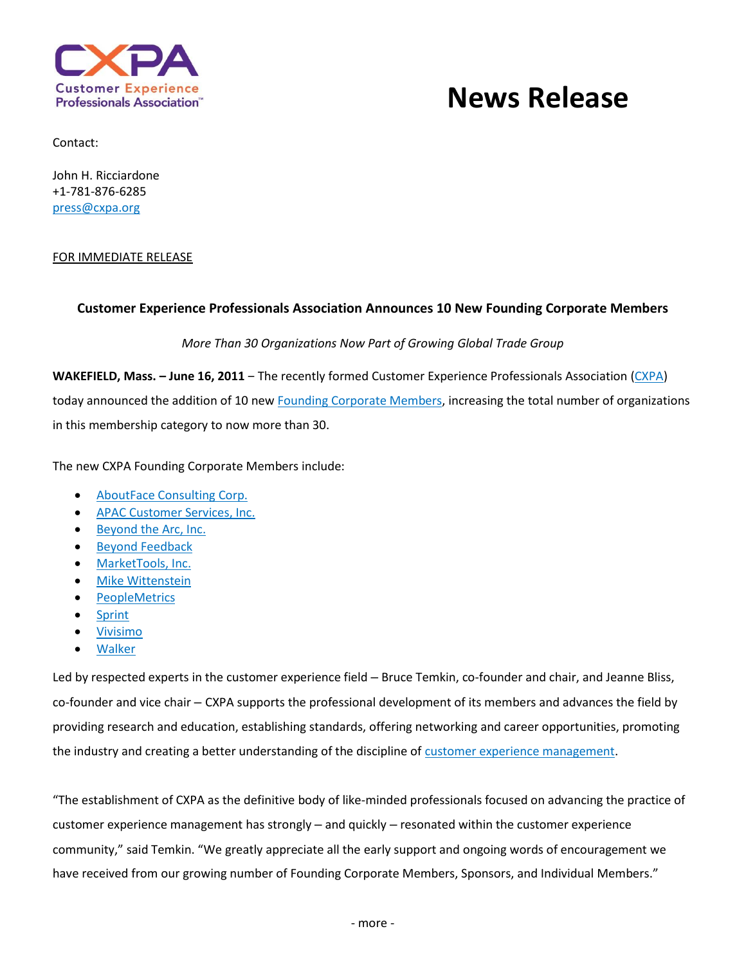

# **News Release**

Contact:

John H. Ricciardone +1-781-876-6285 [press@cxpa.org](mailto:press@cxpa.org)

#### FOR IMMEDIATE RELEASE

## **Customer Experience Professionals Association Announces 10 New Founding Corporate Members**

*More Than 30 Organizations Now Part of Growing Global Trade Group*

**WAKEFIELD, Mass. – June 16, 2011** ‒ The recently formed Customer Experience Professionals Association [\(CXPA\)](http://www.cxpa.org/) today announced the addition of 10 ne[w Founding Corporate Members,](http://www.cxpa.org/?page=members) increasing the total number of organizations in this membership category to now more than 30.

The new CXPA Founding Corporate Members include:

- [AboutFace Consulting Corp.](http://www.aboutfacecorp.com/)
- [APAC Customer Services, Inc.](http://www.apaccustomerservices.com/)
- [Beyond the Arc, Inc.](http://www.beyondthearc.com/)
- **•** [Beyond Feedback](http://www.beyondfeedback.net/)
- [MarketTools, Inc.](http://www.markettools.com/)
- [Mike Wittenstein](http://www.mikewittenstein.com/)
- [PeopleMetrics](http://www.peoplemetrics.com/)
- [Sprint](http://newsroom.sprint.com/article_display.cfm?article_id=1938)
- [Vivisimo](http://www.vivisimo.com/)
- [Walker](http://www.walkerinfo.com/)

Led by respected experts in the customer experience field - Bruce Temkin, co-founder and chair, and Jeanne Bliss, co-founder and vice chair – CXPA supports the professional development of its members and advances the field by providing research and education, establishing standards, offering networking and career opportunities, promoting the industry and creating a better understanding of the discipline o[f customer experience management.](http://www.cxpa.org/?page=about)

"The establishment of CXPA as the definitive body of like-minded professionals focused on advancing the practice of customer experience management has strongly – and quickly – resonated within the customer experience community," said Temkin. "We greatly appreciate all the early support and ongoing words of encouragement we have received from our growing number of Founding Corporate Members, Sponsors, and Individual Members."